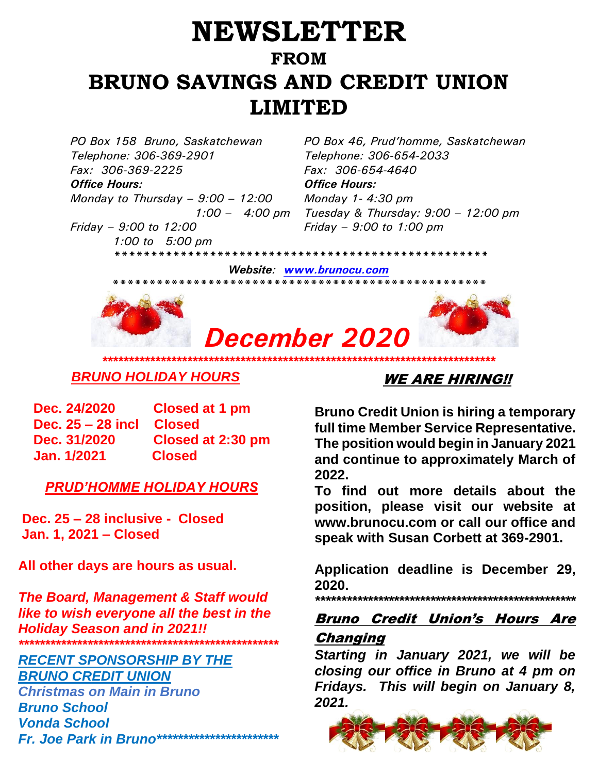## **NEWSLETTER FROM BRUNO SAVINGS AND CREDIT UNION LIMITED**

*PO Box 158 Bruno, Saskatchewan PO Box 46, Prud'homme, Saskatchewan Telephone: 306-369-2901 Fax: 306-369-2225* 

*Office Hours: Office Hours: Monday to Thursday – 9:00 – 12:00 1:00 – 4:00 pm Friday – 9:00 to 12:00*

*Telephone: 306-654-2033 Fax: 306-654-4640 Monday 1- 4:30 pm Tuesday & Thursday: 9:00 – 12:00 pm Friday – 9:00 to 1:00 pm*

 *1:00 to 5:00 pm \*\*\*\*\*\*\*\*\*\*\*\*\*\*\*\*\*\*\*\*\*\*\*\*\*\*\*\*\*\*\*\*\*\*\*\*\*\*\*\*\*\*\*\*\*\*\*\*\*\*\* Website: [www.brunocu.com](http://www.brunocu.com/)* 

*\*\*\*\*\*\*\*\*\*\*\*\*\*\*\*\*\*\*\*\*\*\*\*\*\*\*\*\*\*\*\*\*\*\*\*\*\*\*\*\*\*\*\*\*\*\*\*\*\*\*\** 



# *December 2020*

## *BRUNO HOLIDAY HOURS*

| Dec. 24/2020       | Closed at 1 pm    |
|--------------------|-------------------|
| Dec. 25 – 28 incl. | <b>Closed</b>     |
| Dec. 31/2020       | Closed at 2:30 pm |
| Jan. 1/2021        | <b>Closed</b>     |

#### *PRUD'HOMME HOLIDAY HOURS*

**Dec. 25 – 28 inclusive - Closed Jan. 1, 2021 – Closed**

**All other days are hours as usual.**

*The Board, Management & Staff would like to wish everyone all the best in the Holiday Season and in 2021!! \*\*\*\*\*\*\*\*\*\*\*\*\*\*\*\*\*\*\*\*\*\*\*\*\*\*\*\*\*\*\*\*\*\*\*\*\*\*\*\*\*\*\*\*\*\*\*\*\**

#### *RECENT SPONSORSHIP BY THE BRUNO CREDIT UNION*

*Christmas on Main in Bruno Bruno School Vonda School Fr. Joe Park in Bruno\*\*\*\*\*\*\*\*\*\*\*\*\*\*\*\*\*\*\*\*\*\*\**

## WE ARE HIRING!!

**Bruno Credit Union is hiring a temporary full time Member Service Representative. The position would begin in January 2021 and continue to approximately March of 2022.** 

**To find out more details about the position, please visit our website at www.brunocu.com or call our office and speak with Susan Corbett at 369-2901.** 

**Application deadline is December 29, 2020.**

*\*\*\*\*\*\*\*\*\*\*\*\*\*\*\*\*\*\*\*\*\*\*\*\*\*\*\*\*\*\*\*\*\*\*\*\*\*\*\*\*\*\*\*\*\*\*\*\*\*\** 

### Bruno Credit Union's Hours Are Changing

*Starting in January 2021, we will be closing our office in Bruno at 4 pm on Fridays. This will begin on January 8, 2[021.](https://www.google.ca/url?sa=i&url=http://clipart-library.com/free-images-of-christmas.html&psig=AOvVaw0F-LzK9qu4LDBz_U6Vwgd7&ust=1575736772585000&source=images&cd=vfe&ved=0CAIQjRxqFwoTCIDA-Ye7oeYCFQAAAAAdAAAAABAY)*